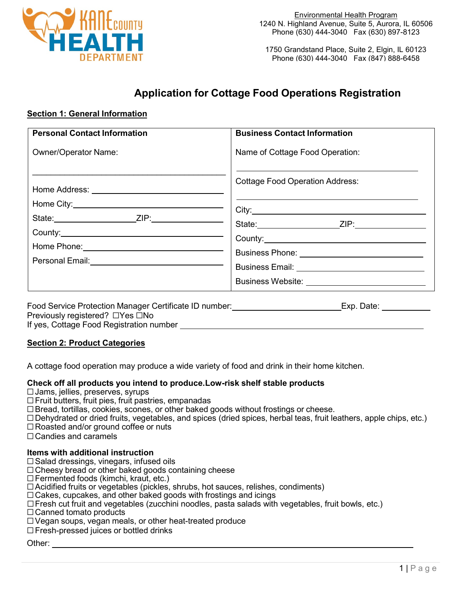

1750 Grandstand Place, Suite 2, Elgin, IL 60123 Phone (630) 444-3040 Fax (847) 888-6458

# **Application for Cottage Food Operations Registration**

# **Section 1: General Information**

| <b>Personal Contact Information</b>                                                                                            | <b>Business Contact Information</b>                  |
|--------------------------------------------------------------------------------------------------------------------------------|------------------------------------------------------|
| <b>Owner/Operator Name:</b>                                                                                                    | Name of Cottage Food Operation:                      |
|                                                                                                                                | <b>Cottage Food Operation Address:</b>               |
|                                                                                                                                |                                                      |
|                                                                                                                                |                                                      |
| County:                                                                                                                        | County: 2008 County:                                 |
|                                                                                                                                | Business Phone: ______________________________       |
|                                                                                                                                | Business Email: <u>___________________________</u> _ |
|                                                                                                                                |                                                      |
| $\mathbf{r}$ , and $\mathbf{r}$ , and $\mathbf{r}$ , and $\mathbf{r}$ , and $\mathbf{r}$ , and $\mathbf{r}$ , and $\mathbf{r}$ |                                                      |

Food Service Protection Manager Certificate ID number: Exp. Date: Exp. Date: Exp. Date: Previously registered? □Yes □No If yes, Cottage Food Registration number

# **Section 2: Product Categories**

A cottage food operation may produce a wide variety of food and drink in their home kitchen.

#### **Check off all products you intend to produce.Low-risk shelf stable products**

- □Jams, jellies, preserves, syrups
- $\Box$  Fruit butters, fruit pies, fruit pastries, empanadas
- □Bread, tortillas, cookies, scones, or other baked goods without frostings or cheese.
- □Dehydrated or dried fruits, vegetables, and spices (dried spices, herbal teas, fruit leathers, apple chips, etc.)
- □Roasted and/or ground coffee or nuts
- $\Box$  Candies and caramels

# **Items with additional instruction**

- $\square$  Salad dressings, vinegars, infused oils
- $\Box$  Cheesy bread or other baked goods containing cheese
- □Fermented foods (kimchi, kraut, etc.)
- □Acidified fruits or vegetables (pickles, shrubs, hot sauces, relishes, condiments)
- $\Box$  Cakes, cupcakes, and other baked goods with frostings and icings
- $\square$  Fresh cut fruit and vegetables (zucchini noodles, pasta salads with vegetables, fruit bowls, etc.)
- □ Canned tomato products
- □Vegan soups, vegan meals, or other heat-treated produce
- □Fresh-pressed juices or bottled drinks

Other: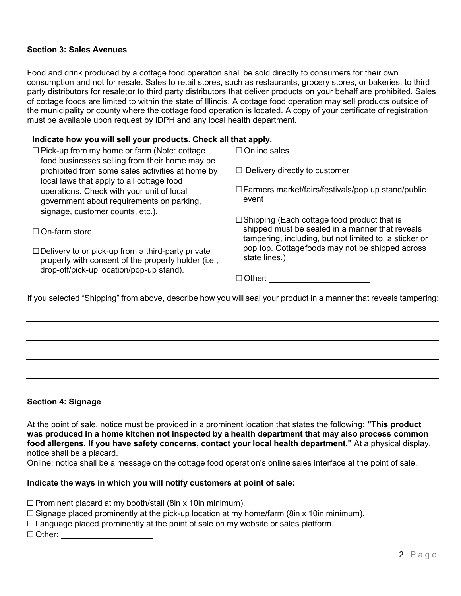# **Section 3: Sales Avenues**

Food and drink produced by a cottage food operation shall be sold directly to consumers for their own consumption and not for resale. Sales to retail stores, such as restaurants, grocery stores, or bakeries; to third party distributors for resale;or to third party distributors that deliver products on your behalf are prohibited. Sales of cottage foods are limited to within the state of Illinois. A cottage food operation may sell products outside of the municipality or county where the cottage food operation is located. A copy of your certificate of registration must be available upon request by IDPH and any local health department.

| Indicate how you will sell your products. Check all that apply. |                                                           |  |
|-----------------------------------------------------------------|-----------------------------------------------------------|--|
| $\Box$ Pick-up from my home or farm (Note: cottage              | $\Box$ Online sales                                       |  |
| food businesses selling from their home may be                  |                                                           |  |
| prohibited from some sales activities at home by                | $\Box$ Delivery directly to customer                      |  |
| local laws that apply to all cottage food                       |                                                           |  |
| operations. Check with your unit of local                       | $\Box$ Farmers market/fairs/festivals/pop up stand/public |  |
| government about requirements on parking,                       | event                                                     |  |
| signage, customer counts, etc.).                                |                                                           |  |
|                                                                 | $\Box$ Shipping (Each cottage food product that is        |  |
| $\Box$ On-farm store                                            | shipped must be sealed in a manner that reveals           |  |
|                                                                 | tampering, including, but not limited to, a sticker or    |  |
| $\Box$ Delivery to or pick-up from a third-party private        | pop top. Cottagefoods may not be shipped across           |  |
| property with consent of the property holder (i.e.,             | state lines.)                                             |  |
| drop-off/pick-up location/pop-up stand).                        |                                                           |  |
|                                                                 | $\Box$ Other:                                             |  |

If you selected "Shipping" from above, describe how you will seal your product in a manner that reveals tampering:

# **Section 4: Signage**

At the point of sale, notice must be provided in a prominent location that states the following: **"This product was produced in a home kitchen not inspected by a health department that may also process common food allergens. If you have safety concerns, contact your local health department."** At a physical display, notice shall be a placard.

Online: notice shall be a message on the cottage food operation's online sales interface at the point of sale.

# **Indicate the ways in which you will notify customers at point of sale:**

 $\Box$  Prominent placard at my booth/stall (8in x 10in minimum).

- $\square$  Signage placed prominently at the pick-up location at my home/farm (8in x 10in minimum).
- $\Box$  Language placed prominently at the point of sale on my website or sales platform.

□ Other: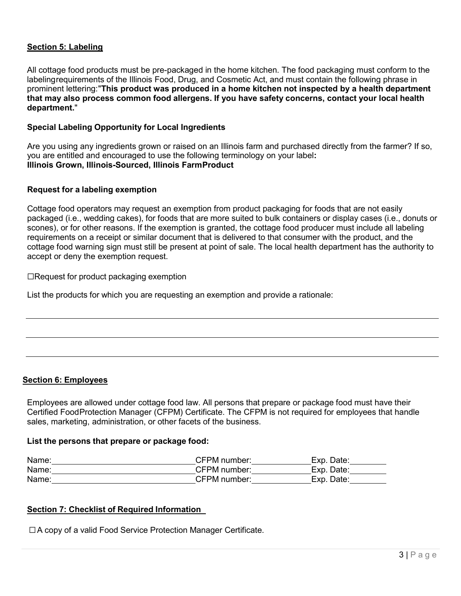# **Section 5: Labeling**

All cottage food products must be pre-packaged in the home kitchen. The food packaging must conform to the labelingrequirements of the Illinois Food, Drug, and Cosmetic Act, and must contain the following phrase in prominent lettering:"**This product was produced in a home kitchen not inspected by a health department that may also process common food allergens. If you have safety concerns, contact your local health department.**"

### **Special Labeling Opportunity for Local Ingredients**

Are you using any ingredients grown or raised on an Illinois farm and purchased directly from the farmer? If so, you are entitled and encouraged to use the following terminology on your label**: Illinois Grown, Illinois-Sourced, Illinois FarmProduct**

### **Request for a labeling exemption**

Cottage food operators may request an exemption from product packaging for foods that are not easily packaged (i.e., wedding cakes), for foods that are more suited to bulk containers or display cases (i.e., donuts or scones), or for other reasons. If the exemption is granted, the cottage food producer must include all labeling requirements on a receipt or similar document that is delivered to that consumer with the product, and the cottage food warning sign must still be present at point of sale. The local health department has the authority to accept or deny the exemption request.

⬜Request for product packaging exemption

List the products for which you are requesting an exemption and provide a rationale:

#### **Section 6: Employees**

Employees are allowed under cottage food law. All persons that prepare or package food must have their Certified FoodProtection Manager (CFPM) Certificate. The CFPM is not required for employees that handle sales, marketing, administration, or other facets of the business.

#### **List the persons that prepare or package food:**

| Name: | CFPM number: | Exp. Date: |
|-------|--------------|------------|
| Name: | CFPM number: | Exp. Date: |
| Name: | CFPM number: | Exp. Date: |

#### **Section 7: Checklist of Required Information**

□A copy of a valid Food Service Protection Manager Certificate.